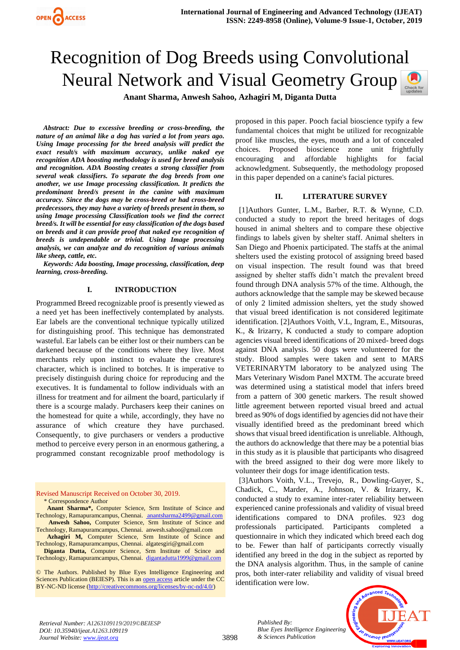# Recognition of Dog Breeds using Convolutional Neural Network and Visual Geometry Group

**Anant Sharma, Anwesh Sahoo, Azhagiri M, Diganta Dutta** 

*Abstract: Due to excessive breeding or cross-breeding, the nature of an animal like a dog has varied a lot from years ago. Using Image processing for the breed analysis will predict the exact result/s with maximum accuracy, unlike naked eye recognition ADA boosting methodology is used for breed analysis and recognition. ADA Boosting creates a strong classifier from several weak classifiers. To separate the dog breeds from one another, we use Image processing classification. It predicts the predominant breed/s present in the canine with maximum accuracy. Since the dogs may be cross-breed or had cross-breed predecessors, they may have a variety of breeds present in them, so using Image processing Classification tools we find the correct breed/s. It will be essential for easy classification of the dogs based on breeds and it can provide proof that naked eye recognition of breeds is undependable or trivial. Using Image processing analysis, we can analyze and do recognition of various animals like sheep, cattle, etc.*

*Keywords: Ada boosting, Image processing, classification, deep learning, cross-breeding.*

## **I. INTRODUCTION**

Programmed Breed recognizable proof is presently viewed as a need yet has been ineffectively contemplated by analysts. Ear labels are the conventional technique typically utilized for distinguishing proof. This technique has demonstrated wasteful. Ear labels can be either lost or their numbers can be darkened because of the conditions where they live. Most merchants rely upon instinct to evaluate the creature's character, which is inclined to botches. It is imperative to precisely distinguish during choice for reproducing and the executives. It is fundamental to follow individuals with an illness for treatment and for ailment the board, particularly if there is a scourge malady. Purchasers keep their canines on the homestead for quite a while, accordingly, they have no assurance of which creature they have purchased. Consequently, to give purchasers or venders a productive method to perceive every person in an enormous gathering, a programmed constant recognizable proof methodology is

Revised Manuscript Received on October 30, 2019. \* Correspondence Author

 **Anant Sharma\*,** Computer Science, Srm Institute of Scince and Technology, Ramapuramcampus, Chennai. [anantsharma2499@gmail.com](mailto:%20anantsharma2499@gmail.com)  **Anwesh Sahoo,** Computer Science, Srm Institute of Scince and

Technology, Ramapuramcampus, Chennai. anwesh.sahoo@gmail.com  **Azhagiri M,** Computer Science, Srm Institute of Scince and Technology, Ramapuramcampus, Chennai. algatesgiri@gmail.com

**Diganta Dutta,** Computer Science, Srm Institute of Scince and Technology, Ramapuramcampus, Chennai. [digantadutta1999@gmail.com](mailto:digantadutta1999@gmail.com)

© The Authors. Published by Blue Eyes Intelligence Engineering and Sciences Publication (BEIESP). This is an [open access](https://www.openaccess.nl/en/open-publications) article under the CC BY-NC-ND license [\(http://creativecommons.org/licenses/by-nc-nd/4.0/\)](http://creativecommons.org/licenses/by-nc-nd/4.0/)

proposed in this paper. Pooch facial bioscience typify a few fundamental choices that might be utilized for recognizable proof like muscles, the eyes, mouth and a lot of concealed choices. Proposed bioscience zone unit frightfully encouraging and affordable highlights for facial acknowledgment. Subsequently, the methodology proposed in this paper depended on a canine's facial pictures.

#### **II. LITERATURE SURVEY**

[1]Authors Gunter, L.M., Barber, R.T. & Wynne, C.D. conducted a study to report the breed heritages of dogs housed in animal shelters and to compare these objective findings to labels given by shelter staff. Animal shelters in San Diego and Phoenix participated. The staffs at the animal shelters used the existing protocol of assigning breed based on visual inspection. The result found was that breed assigned by shelter staffs didn't match the prevalent breed found through DNA analysis 57% of the time. Although, the authors acknowledge that the sample may be skewed because of only 2 limited admission shelters, yet the study showed that visual breed identification is not considered legitimate identification. [2]Authors Voith, V.L, Ingram, E., Mitsouras, K., & Irizarry, K conducted a study to compare adoption agencies visual breed identifications of 20 mixed- breed dogs against DNA analysis. 50 dogs were volunteered for the study. Blood samples were taken and sent to MARS VETERINARYTM laboratory to be analyzed using The Mars Veterinary Wisdom Panel MXTM. The accurate breed was determined using a statistical model that infers breed from a pattern of 300 genetic markers. The result showed little agreement between reported visual breed and actual breed as 90% of dogs identified by agencies did not have their visually identified breed as the predominant breed which shows that visual breed identification is unreliable. Although, the authors do acknowledge that there may be a potential bias in this study as it is plausible that participants who disagreed with the breed assigned to their dog were more likely to volunteer their dogs for image identification tests.

[3]Authors Voith, V.L., Trevejo, R., Dowling-Guyer, S., Chadick, C., Marder, A., Johnson, V. & Irizarry, K. conducted a study to examine inter-rater reliability between experienced canine professionals and validity of visual breed identifications compared to DNA profiles. 923 dog professionals participated. Participants completed a questionnaire in which they indicated which breed each dog to be. Fewer than half of participants correctly visually identified any breed in the dog in the subject as reported by the DNA analysis algorithm. Thus, in the sample of canine pros, both inter-rater reliability and validity of visual breed identification were low.



*Retrieval Number: A1263109119/2019©BEIESP DOI: 10.35940/ijeat.A1263.109119 Journal Website[: www.ijeat.org](http://www.ijeat.org/)*

*Published By: Blue Eyes Intelligence Engineering & Sciences Publication*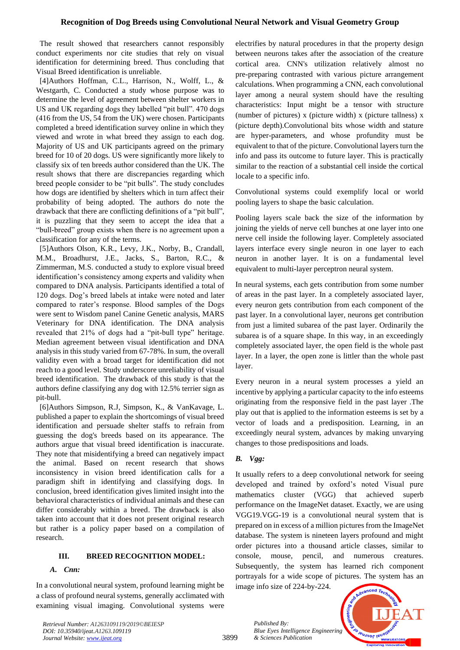# **Recognition of Dog Breeds using Convolutional Neural Network and Visual Geometry Group**

The result showed that researchers cannot responsibly conduct experiments nor cite studies that rely on visual identification for determining breed. Thus concluding that Visual Breed identification is unreliable.

[4]Authors Hoffman, C.L., Harrison, N., Wolff, L., & Westgarth, C. Conducted a study whose purpose was to determine the level of agreement between shelter workers in US and UK regarding dogs they labelled "pit bull". 470 dogs (416 from the US, 54 from the UK) were chosen. Participants completed a breed identification survey online in which they viewed and wrote in what breed they assign to each dog. Majority of US and UK participants agreed on the primary breed for 10 of 20 dogs. US were significantly more likely to classify six of ten breeds author considered than the UK. The result shows that there are discrepancies regarding which breed people consider to be "pit bulls". The study concludes how dogs are identified by shelters which in turn affect their probability of being adopted. The authors do note the drawback that there are conflicting definitions of a "pit bull", it is puzzling that they seem to accept the idea that a "bull-breed" group exists when there is no agreement upon a classification for any of the terms.

[5]Authors Olson, K.R., Levy, J.K., Norby, B., Crandall, M.M., Broadhurst, J.E., Jacks, S., Barton, R.C., & Zimmerman, M.S. conducted a study to explore visual breed identification's consistency among experts and validity when compared to DNA analysis. Participants identified a total of 120 dogs. Dog's breed labels at intake were noted and later compared to rater's response. Blood samples of the Dogs were sent to Wisdom panel Canine Genetic analysis, MARS Veterinary for DNA identification. The DNA analysis revealed that 21% of dogs had a "pit-bull type" heritage. Median agreement between visual identification and DNA analysis in this study varied from 67-78%. In sum, the overall validity even with a broad target for identification did not reach to a good level. Study underscore unreliability of visual breed identification. The drawback of this study is that the authors define classifying any dog with 12.5% terrier sign as pit-bull.

[6]Authors Simpson, R.J, Simpson, K., & VanKavage, L. published a paper to explain the shortcomings of visual breed identification and persuade shelter staffs to refrain from guessing the dog's breeds based on its appearance. The authors argue that visual breed identification is inaccurate. They note that misidentifying a breed can negatively impact the animal. Based on recent research that shows inconsistency in vision breed identification calls for a paradigm shift in identifying and classifying dogs. In conclusion, breed identification gives limited insight into the behavioral characteristics of individual animals and these can differ considerably within a breed. The drawback is also taken into account that it does not present original research but rather is a policy paper based on a compilation of research.

## **III. BREED RECOGNITION MODEL:**

## *A. Cnn:*

In a convolutional neural system, profound learning might be a class of profound neural systems, generally acclimated with examining visual imaging. Convolutional systems were electrifies by natural procedures in that the property design between neurons takes after the association of the creature cortical area. CNN's utilization relatively almost no pre-preparing contrasted with various picture arrangement calculations. When programming a CNN, each convolutional layer among a neural system should have the resulting characteristics: Input might be a tensor with structure (number of pictures) x (picture width) x (picture tallness) x (picture depth).Convolutional bits whose width and stature are hyper-parameters, and whose profundity must be equivalent to that of the picture. Convolutional layers turn the info and pass its outcome to future layer. This is practically similar to the reaction of a substantial cell inside the cortical locale to a specific info.

Convolutional systems could exemplify local or world pooling layers to shape the basic calculation.

Pooling layers scale back the size of the information by joining the yields of nerve cell bunches at one layer into one nerve cell inside the following layer. Completely associated layers interface every single neuron in one layer to each neuron in another layer. It is on a fundamental level equivalent to multi-layer perceptron neural system.

In neural systems, each gets contribution from some number of areas in the past layer. In a completely associated layer, every neuron gets contribution from each component of the past layer. In a convolutional layer, neurons get contribution from just a limited subarea of the past layer. Ordinarily the subarea is of a square shape. In this way, in an exceedingly completely associated layer, the open field is the whole past layer. In a layer, the open zone is littler than the whole past layer.

Every neuron in a neural system processes a yield an incentive by applying a particular capacity to the info esteems originating from the responsive field in the past layer .The play out that is applied to the information esteems is set by a vector of loads and a predisposition. Learning, in an exceedingly neural system, advances by making unvarying changes to those predispositions and loads.

## *B. Vgg:*

It usually refers to a deep convolutional network for seeing developed and trained by oxford's noted Visual pure mathematics cluster (VGG) that achieved superb performance on the ImageNet dataset. Exactly, we are using VGG19.VGG-19 is a convolutional neural system that is prepared on in excess of a million pictures from the ImageNet database. The system is nineteen layers profound and might order pictures into a thousand article classes, similar to console, mouse, pencil, and numerous creatures. Subsequently, the system has learned rich component portrayals for a wide scope of pictures. The system has an image info size of 224-by-224.

*Published By: Blue Eyes Intelligence Engineering & Sciences Publication* 



*Retrieval Number: A1263109119/2019©BEIESP DOI: 10.35940/ijeat.A1263.109119 Journal Website[: www.ijeat.org](http://www.ijeat.org/)*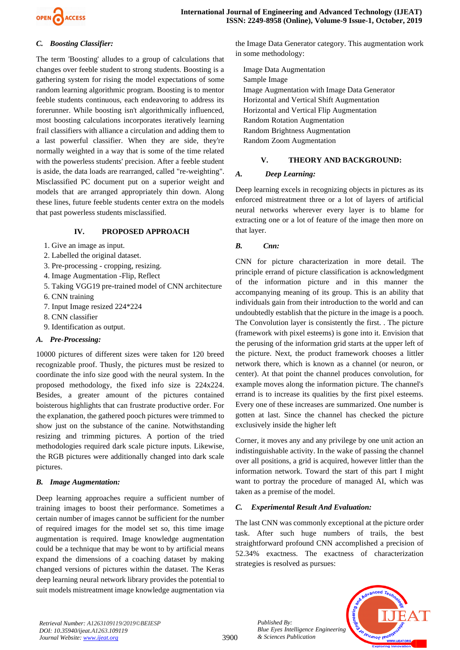

# *C. Boosting Classifier:*

The term 'Boosting' alludes to a group of calculations that changes over feeble student to strong students. Boosting is a gathering system for rising the model expectations of some random learning algorithmic program. Boosting is to mentor feeble students continuous, each endeavoring to address its forerunner. While boosting isn't algorithmically influenced, most boosting calculations incorporates iteratively learning frail classifiers with alliance a circulation and adding them to a last powerful classifier. When they are side, they're normally weighted in a way that is some of the time related with the powerless students' precision. After a feeble student is aside, the data loads are rearranged, called "re-weighting". Misclassified PC document put on a superior weight and models that are arranged appropriately thin down. Along these lines, future feeble students center extra on the models that past powerless students misclassified.

# **IV. PROPOSED APPROACH**

- 1. Give an image as input.
- 2. Labelled the original dataset.
- 3. Pre-processing cropping, resizing.
- 4. Image Augmentation -Flip, Reflect
- 5. Taking VGG19 pre-trained model of CNN architecture
- 6. CNN training
- 7. Input Image resized 224\*224
- 8. CNN classifier
- 9. Identification as output.

# *A. Pre-Processing:*

10000 pictures of different sizes were taken for 120 breed recognizable proof. Thusly, the pictures must be resized to coordinate the info size good with the neural system. In the proposed methodology, the fixed info size is 224x224. Besides, a greater amount of the pictures contained boisterous highlights that can frustrate productive order. For the explanation, the gathered pooch pictures were trimmed to show just on the substance of the canine. Notwithstanding resizing and trimming pictures. A portion of the tried methodologies required dark scale picture inputs. Likewise, the RGB pictures were additionally changed into dark scale pictures.

# *B. Image Augmentation:*

Deep learning approaches require a sufficient number of training images to boost their performance. Sometimes a certain number of images cannot be sufficient for the number of required images for the model set so, this time image augmentation is required. Image knowledge augmentation could be a technique that may be wont to by artificial means expand the dimensions of a coaching dataset by making changed versions of pictures within the dataset. The Keras deep learning neural network library provides the potential to suit models mistreatment image knowledge augmentation via the Image Data Generator category. This augmentation work in some methodology:

Image Data Augmentation Sample Image Image Augmentation with Image Data Generator Horizontal and Vertical Shift Augmentation Horizontal and Vertical Flip Augmentation Random Rotation Augmentation Random Brightness Augmentation Random Zoom Augmentation

# **V. THEORY AND BACKGROUND:**

# *A. Deep Learning:*

Deep learning excels in recognizing objects in pictures as its enforced mistreatment three or a lot of layers of artificial neural networks wherever every layer is to blame for extracting one or a lot of feature of the image then more on that layer.

# *B. Cnn:*

CNN for picture characterization in more detail. The principle errand of picture classification is acknowledgment of the information picture and in this manner the accompanying meaning of its group. This is an ability that individuals gain from their introduction to the world and can undoubtedly establish that the picture in the image is a pooch. The Convolution layer is consistently the first. . The picture (framework with pixel esteems) is gone into it. Envision that the perusing of the information grid starts at the upper left of the picture. Next, the product framework chooses a littler network there, which is known as a channel (or neuron, or center). At that point the channel produces convolution, for example moves along the information picture. The channel's errand is to increase its qualities by the first pixel esteems. Every one of these increases are summarized. One number is gotten at last. Since the channel has checked the picture exclusively inside the higher left

Corner, it moves any and any privilege by one unit action an indistinguishable activity. In the wake of passing the channel over all positions, a grid is acquired, however littler than the information network. Toward the start of this part I might want to portray the procedure of managed AI, which was taken as a premise of the model.

# *C. Experimental Result And Evaluation:*

The last CNN was commonly exceptional at the picture order task. After such huge numbers of trails, the best straightforward profound CNN accomplished a precision of 52.34% exactness. The exactness of characterization strategies is resolved as pursues:



*Retrieval Number: A1263109119/2019©BEIESP DOI: 10.35940/ijeat.A1263.109119 Journal Website[: www.ijeat.org](http://www.ijeat.org/)*

*Published By: Blue Eyes Intelligence Engineering & Sciences Publication*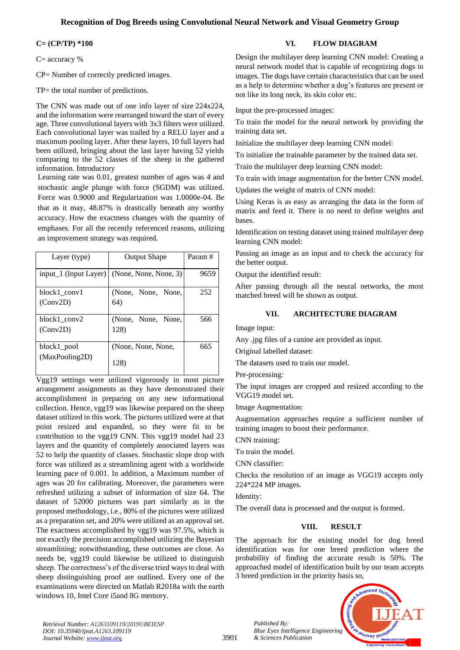# **Recognition of Dog Breeds using Convolutional Neural Network and Visual Geometry Group**

## **C= (CP/TP) \*100**

C= accuracy %

CP= Number of correctly predicted images.

TP= the total number of predictions.

The CNN was made out of one info layer of size 224x224, and the information were rearranged toward the start of every age. Three convolutional layers with 3x3 filters were utilized. Each convolutional layer was trailed by a RELU layer and a maximum pooling layer. After these layers, 10 full layers had been utilized, bringing about the last layer having 52 yields comparing to the 52 classes of the sheep in the gathered information. Introductory

Learning rate was 0.01, greatest number of ages was 4 and stochastic angle plunge with force (SGDM) was utilized. Force was 0.9000 and Regularization was 1.0000e-04. Be that as it may, 48.87% is drastically beneath any worthy accuracy. How the exactness changes with the quantity of emphases. For all the recently referenced reasons, utilizing an improvement strategy was required.

| Layer (type)                  | <b>Output Shape</b>        | Param# |
|-------------------------------|----------------------------|--------|
| input_1 (Input Layer)         | (None, None, None, 3)      | 9659   |
| block1_conv1<br>(Conv2D)      | (None, None, None,<br>64)  | 252    |
| block1 conv2<br>(Conv2D)      | (None, None, None,<br>128) | 566    |
| block1_pool<br>(MaxPooling2D) | (None, None, None,<br>128) | 665    |

Vgg19 settings were utilized vigorously in most picture arrangement assignments as they have demonstrated their accomplishment in preparing on any new informational collection. Hence, vgg19 was likewise prepared on the sheep dataset utilized in this work. The pictures utilized were at that point resized and expanded, so they were fit to be contribution to the vgg19 CNN. This vgg19 model had 23 layers and the quantity of completely associated layers was 52 to help the quantity of classes. Stochastic slope drop with force was utilized as a streamlining agent with a worldwide learning pace of 0.001. In addition, a Maximum number of ages was 20 for calibrating. Moreover, the parameters were refreshed utilizing a subset of information of size 64. The dataset of 52000 pictures was part similarly as in the proposed methodology, i.e., 80% of the pictures were utilized as a preparation set, and 20% were utilized as an approval set. The exactness accomplished by vgg19 was 97.5%, which is not exactly the precision accomplished utilizing the Bayesian streamlining; notwithstanding, these outcomes are close. As needs be, vgg19 could likewise be utilized to distinguish sheep. The correctness's of the diverse tried ways to deal with sheep distinguishing proof are outlined. Every one of the examinations were directed on Matlab R2018a with the earth windows 10, Intel Core i5and 8G memory.

# **VI. FLOW DIAGRAM**

Design the multilayer deep learning CNN model: Creating a neural network model that is capable of recognizing dogs in images. The dogs have certain characteristics that can be used as a help to determine whether a dog's features are present or not like its long neck, its skin color etc.

Input the pre-processed images:

To train the model for the neural network by providing the training data set.

Initialize the multilayer deep learning CNN model:

To initialize the trainable parameter by the trained data set.

Train the multilayer deep learning CNN model:

To train with image augmentation for the better CNN model.

Updates the weight of matrix of CNN model:

Using Keras is as easy as arranging the data in the form of matrix and feed it. There is no need to define weights and bases.

Identification on testing dataset using trained multilayer deep learning CNN model:

Passing an image as an input and to check the accuracy for the better output.

Output the identified result:

After passing through all the neural networks, the most matched breed will be shown as output.

# **VII. ARCHITECTURE DIAGRAM**

Image input:

Any .jpg files of a canine are provided as input.

Original labelled dataset:

The datasets used to train our model.

Pre-processing:

The input images are cropped and resized according to the VGG19 model set.

Image Augmentation:

Augmentation approaches require a sufficient number of training images to boost their performance.

CNN training:

To train the model.

*Published By:*

*& Sciences Publication* 

CNN classifier:

Checks the resolution of an image as VGG19 accepts only 224\*224 MP images.

Identity:

The overall data is processed and the output is formed.

# **VIII. RESULT**

The approach for the existing model for dog breed identification was for one breed prediction where the probability of finding the accurate result is 50%. The approached model of identification built by our team accepts 3 breed prediction in the priority basis so,



*Retrieval Number: A1263109119/2019©BEIESP DOI: 10.35940/ijeat.A1263.109119 Journal Website[: www.ijeat.org](http://www.ijeat.org/)*

3901